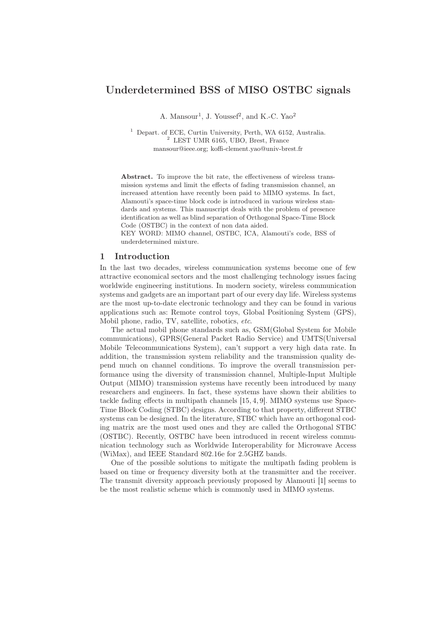# Underdetermined BSS of MISO OSTBC signals

A. Mansour<sup>1</sup>, J. Youssef<sup>2</sup>, and K.-C. Yao<sup>2</sup>

<sup>1</sup> Depart. of ECE, Curtin University, Perth, WA 6152, Australia. <sup>2</sup> LEST UMR 6165, UBO, Brest, France mansour@ieee.org; koffi-clement.yao@univ-brest.fr

Abstract. To improve the bit rate, the effectiveness of wireless transmission systems and limit the effects of fading transmission channel, an increased attention have recently been paid to MIMO systems. In fact, Alamouti's space-time block code is introduced in various wireless standards and systems. This manuscript deals with the problem of presence identification as well as blind separation of Orthogonal Space-Time Block Code (OSTBC) in the context of non data aided.

KEY WORD: MIMO channel, OSTBC, ICA, Alamouti's code, BSS of underdetermined mixture.

## 1 Introduction

In the last two decades, wireless communication systems become one of few attractive economical sectors and the most challenging technology issues facing worldwide engineering institutions. In modern society, wireless communication systems and gadgets are an important part of our every day life. Wireless systems are the most up-to-date electronic technology and they can be found in various applications such as: Remote control toys, Global Positioning System (GPS), Mobil phone, radio, TV, satellite, robotics, etc.

The actual mobil phone standards such as, GSM(Global System for Mobile communications), GPRS(General Packet Radio Service) and UMTS(Universal Mobile Telecommunications System), can't support a very high data rate. In addition, the transmission system reliability and the transmission quality depend much on channel conditions. To improve the overall transmission performance using the diversity of transmission channel, Multiple-Input Multiple Output (MIMO) transmission systems have recently been introduced by many researchers and engineers. In fact, these systems have shown their abilities to tackle fading effects in multipath channels [15, 4, 9]. MIMO systems use Space-Time Block Coding (STBC) designs. According to that property, different STBC systems can be designed. In the literature, STBC which have an orthogonal coding matrix are the most used ones and they are called the Orthogonal STBC (OSTBC). Recently, OSTBC have been introduced in recent wireless communication technology such as Worldwide Interoperability for Microwave Access (WiMax), and IEEE Standard 802.16e for 2.5GHZ bands.

One of the possible solutions to mitigate the multipath fading problem is based on time or frequency diversity both at the transmitter and the receiver. The transmit diversity approach previously proposed by Alamouti [1] seems to be the most realistic scheme which is commonly used in MIMO systems.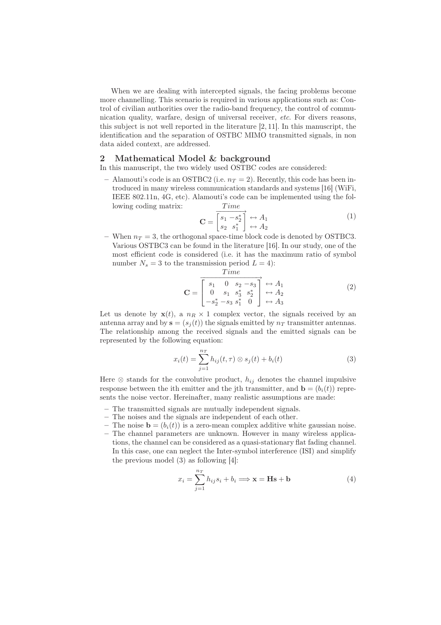When we are dealing with intercepted signals, the facing problems become more channelling. This scenario is required in various applications such as: Control of civilian authorities over the radio-band frequency, the control of communication quality, warfare, design of universal receiver, etc. For divers reasons, this subject is not well reported in the literature [2, 11]. In this manuscript, the identification and the separation of OSTBC MIMO transmitted signals, in non data aided context, are addressed.

#### 2 Mathematical Model & background

In this manuscript, the two widely used OSTBC codes are considered:

– Alamouti's code is an OSTBC2 (i.e.  $n_T = 2$ ). Recently, this code has been introduced in many wireless communication standards and systems [16] (WiFi, IEEE 802.11n, 4G, etc). Alamouti's code can be implemented using the following coding matrix: Time

$$
\mathbf{C} = \begin{bmatrix} \overrightarrow{s_1 - s_2^*} \\ \overrightarrow{s_2} & \overrightarrow{s_1^*} \end{bmatrix} \leftrightarrow A_1
$$
 (1)

– When  $n_T = 3$ , the orthogonal space-time block code is denoted by OSTBC3. Various OSTBC3 can be found in the literature [16]. In our study, one of the most efficient code is considered (i.e. it has the maximum ratio of symbol number  $N_s = 3$  to the transmission period  $L = 4$ :

$$
\mathbf{C} = \begin{bmatrix} Time \\ s_1 & 0 & s_2 - s_3 \\ 0 & s_1 & s_3^* & s_2^* \\ -s_2^* - s_3 & s_1^* & 0 \end{bmatrix} \stackrel{\leftrightarrow}{\leftrightarrow} A_1
$$
 (2)

Let us denote by  $\mathbf{x}(t)$ , a  $n_R \times 1$  complex vector, the signals received by an antenna array and by  $\mathbf{s} = (s_i(t))$  the signals emitted by  $n_T$  transmitter antennas. The relationship among the received signals and the emitted signals can be represented by the following equation:

$$
x_i(t) = \sum_{j=1}^{n_T} h_{ij}(t, \tau) \otimes s_j(t) + b_i(t)
$$
 (3)

Here  $\otimes$  stands for the convolutive product,  $h_{ij}$  denotes the channel impulsive response between the ith emitter and the jth transmitter, and  $\mathbf{b} = (b_i(t))$  represents the noise vector. Hereinafter, many realistic assumptions are made:

- The transmitted signals are mutually independent signals.
- The noises and the signals are independent of each other.
- The noise  $\mathbf{b} = (b_i(t))$  is a zero-mean complex additive white gaussian noise.
- The channel parameters are unknown. However in many wireless applications, the channel can be considered as a quasi-stationary flat fading channel. In this case, one can neglect the Inter-symbol interference (ISI) and simplify the previous model (3) as following [4]:

$$
x_i = \sum_{j=1}^{n_T} h_{ij} s_i + b_i \Longrightarrow \mathbf{x} = \mathbf{Hs} + \mathbf{b}
$$
 (4)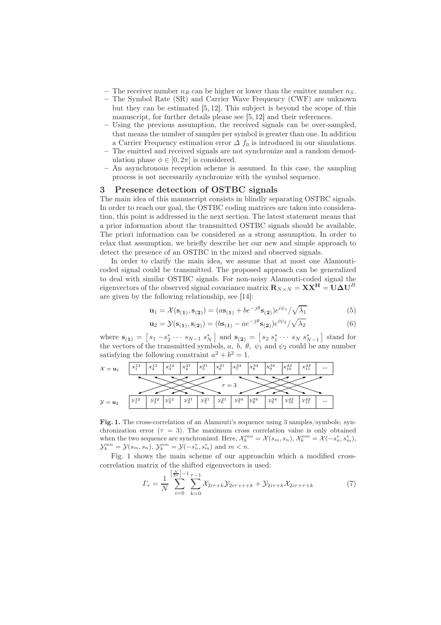- The receiver number  $n_R$  can be higher or lower than the emitter number  $n_S$ .
- The Symbol Rate (SR) and Carrier Wave Frequency (CWF) are unknown but they can be estimated [5, 12]. This subject is beyond the scope of this manuscript, for further details please see [5, 12] and their references.
- Using the previous assumption, the received signals can be over-sampled, that means the number of samples per symbol is greater than one. In addition a Carrier Frequency estimation error  $\Delta f_0$  is introduced in our simulations.
- The emitted and received signals are not synchronize and a random demodulation phase  $\phi \in [0, 2\pi]$  is considered.
- An asynchronous reception scheme is assumed. In this case, the sampling process is not necessarily synchronize with the symbol sequence.

## 3 Presence detection of OSTBC signals

The main idea of this manuscript consists in blindly separating OSTBC signals. In order to reach our goal, the OSTBC coding matrices are taken into consideration, this point is addressed in the next section. The latest statement means that a prior information about the transmitted OSTBC signals should be available. The priori information can be considered as a strong assumption. In order to relax that assumption, we briefly describe her our new and simple approach to detect the presence of an OSTBC in the mixed and observed signals.

In order to clarify the main idea, we assume that at most one Alamouticoded signal could be transmitted. The proposed approach can be generalized to deal with similar OSTBC signals. For non-noisy Alamouti-coded signal the eigenvectors of the observed signal covariance matrix  $\mathbf{R}_{N\times N} = \mathbf{X}\mathbf{X}^{\mathbf{H}} = \mathbf{U}\boldsymbol{\Delta}\mathbf{U}^{H}$ are given by the following relationship, see [14]:

$$
\mathbf{u}_1 = \mathcal{X}(\mathbf{s}_{(1)}, \mathbf{s}_{(2)}) = (a\mathbf{s}_{(1)} + b e^{-j\theta} \mathbf{s}_{(2)}) e^{i\psi_1} / \sqrt{\lambda_1}
$$
(5)

$$
\mathbf{u}_2 = \mathcal{Y}(\mathbf{s}_{(1)}, \mathbf{s}_{(2)}) = (b\mathbf{s}_{(1)} - a e^{-j\theta} \mathbf{s}_{(2)}) e^{i\psi_2} / \sqrt{\lambda_2}
$$
(6)

where  $\mathbf{s}_{(1)} = [s_1 - s_2^* \cdots s_{N-1} s_N^*]$  and  $\mathbf{s}_{(2)} = [s_2 s_1^* \cdots s_N s_{N-1}^*]$  stand for the vectors of the transmitted symbols, a, b,  $\theta$ ,  $\psi_1$  and  $\psi_2$  could be any number satisfying the following constraint  $a^2 + b^2 = 1$ .



Fig. 1. The cross-correlation of an Alamouti's sequence using 3 samples/symbole, synchronization error ( $\tau = 3$ ). The maximum cross correlation value is only obtained when the two sequence are synchronized. Here,  $\mathcal{X}_k^{mn} = \mathcal{X}(s_m, s_n), \mathcal{X}_k^{nm} = \mathcal{X}(-s_n^*, s_m^*),$  $\mathcal{Y}_k^{mn} = \mathcal{Y}(s_m, s_n), \, \mathcal{Y}_k^{nm} = \mathcal{Y}(-s_n^*, s_m^*)$  and  $m < n$ .

Fig. 1 shows the main scheme of our approachin which a modified crosscorrelation matrix of the shifted eigenvectors is used:

$$
\Gamma_{\tau} = \frac{1}{N} \sum_{i=0}^{\left[\frac{N}{2\tau}\right]-1} \sum_{k=0}^{\tau-1} \mathcal{X}_{2i\tau+k} \mathcal{Y}_{2i\tau+\tau+k} + \mathcal{Y}_{2i\tau+k} \mathcal{X}_{2i\tau+\tau+k}
$$
(7)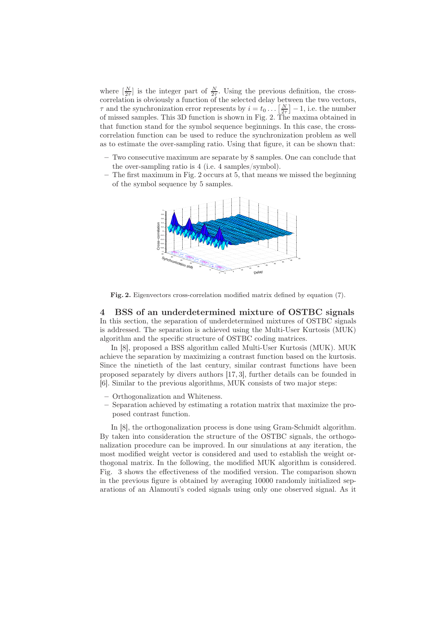where  $\left[\frac{N}{2\tau}\right]$  is the integer part of  $\frac{N}{2\tau}$ . Using the previous definition, the crosscorrelation is obviously a function of the selected delay between the two vectors,  $\tau$  and the synchronization error represents by  $i = t_0 \dots \left[\frac{N}{2\tau}\right] - 1$ , i.e. the number of missed samples. This 3D function is shown in Fig. 2. The maxima obtained in that function stand for the symbol sequence beginnings. In this case, the crosscorrelation function can be used to reduce the synchronization problem as well as to estimate the over-sampling ratio. Using that figure, it can be shown that:

- Two consecutive maximum are separate by 8 samples. One can conclude that the over-sampling ratio is 4 (i.e. 4 samples/symbol).
- The first maximum in Fig. 2 occurs at 5, that means we missed the beginning of the symbol sequence by 5 samples.



Fig. 2. Eigenvectors cross-correlation modified matrix defined by equation (7).

4 BSS of an underdetermined mixture of OSTBC signals In this section, the separation of underdetermined mixtures of OSTBC signals is addressed. The separation is achieved using the Multi-User Kurtosis (MUK) algorithm and the specific structure of OSTBC coding matrices.

In [8], proposed a BSS algorithm called Multi-User Kurtosis (MUK). MUK achieve the separation by maximizing a contrast function based on the kurtosis. Since the ninetieth of the last century, similar contrast functions have been proposed separately by divers authors [17, 3], further details can be founded in [6]. Similar to the previous algorithms, MUK consists of two major steps:

- Orthogonalization and Whiteness.
- Separation achieved by estimating a rotation matrix that maximize the proposed contrast function.

In [8], the orthogonalization process is done using Gram-Schmidt algorithm. By taken into consideration the structure of the OSTBC signals, the orthogonalization procedure can be improved. In our simulations at any iteration, the most modified weight vector is considered and used to establish the weight orthogonal matrix. In the following, the modified MUK algorithm is considered. Fig. 3 shows the effectiveness of the modified version. The comparison shown in the previous figure is obtained by averaging 10000 randomly initialized separations of an Alamouti's coded signals using only one observed signal. As it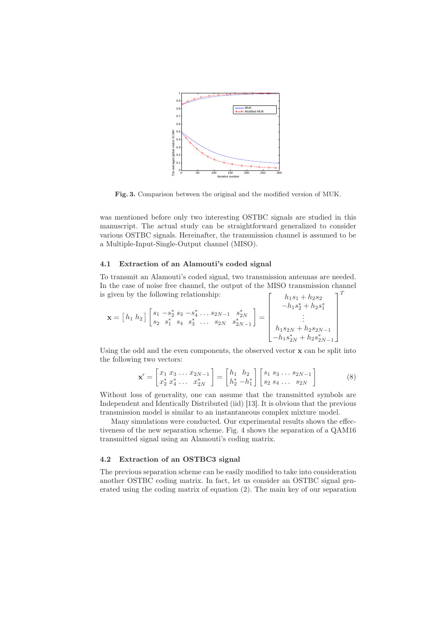

Fig. 3. Comparison between the original and the modified version of MUK.

was mentioned before only two interesting OSTBC signals are studied in this manuscript. The actual study can be straightforward generalized to consider various OSTBC signals. Hereinafter, the transmission channel is assumed to be a Multiple-Input-Single-Output channel (MISO).

#### 4.1 Extraction of an Alamouti's coded signal

To transmit an Alamouti's coded signal, two transmission antennas are needed. In the case of noise free channel, the output of the MISO transmission channel is given by the following relationship:  $\Gamma$  $h_1$   $\varepsilon_1 + h_2$ so  $\overline{1}^T$ 

$$
\mathbf{x} = \begin{bmatrix} h_1 & h_2 \end{bmatrix} \begin{bmatrix} s_1 & -s_2^* & s_3 & -s_4^* & \dots & s_{2N-1} & s_{2N}^* \\ s_2 & s_1^* & s_4 & s_3^* & \dots & s_{2N} & s_{2N-1}^* \end{bmatrix} = \begin{bmatrix} h_1 s_1 + h_2 s_2 \\ -h_1 s_2^* + h_2 s_1^* \\ \vdots \\ h_1 s_{2N} + h_2 s_{2N-1} \\ -h_1 s_{2N}^* + h_2 s_{2N-1}^* \end{bmatrix}
$$

Using the odd and the even components, the observed vector  $x$  can be split into the following two vectors:

$$
\mathbf{x}' = \begin{bmatrix} x_1 & x_3 & \dots & x_{2N-1} \\ x_2^* & x_4^* & \dots & x_{2N}^* \end{bmatrix} = \begin{bmatrix} h_1 & h_2 \\ h_2^* & -h_1^* \end{bmatrix} \begin{bmatrix} s_1 & s_3 & \dots & s_{2N-1} \\ s_2 & s_4 & \dots & s_{2N} \end{bmatrix}
$$
 (8)

Without loss of generality, one can assume that the transmitted symbols are Independent and Identically Distributed (iid) [13]. It is obvious that the previous transmission model is similar to an instantaneous complex mixture model.

Many simulations were conducted. Our experimental results shows the effectiveness of the new separation scheme. Fig. 4 shows the separation of a QAM16 transmitted signal using an Alamouti's coding matrix.

### 4.2 Extraction of an OSTBC3 signal

The previous separation scheme can be easily modified to take into consideration another OSTBC coding matrix. In fact, let us consider an OSTBC signal generated using the coding matrix of equation (2). The main key of our separation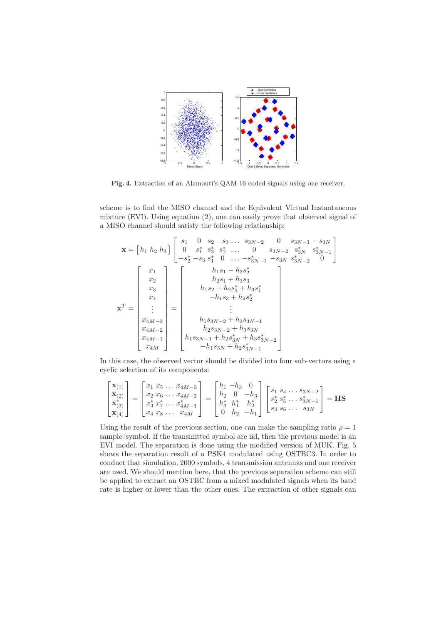

Fig. 4. Extraction of an Alamouti's QAM-16 coded signals using one receiver.

scheme is to find the MISO channel and the Equivalent Virtual Instantaneous mixture (EVI). Using equation (2), one can easily prove that observed signal of a MISO channel should satisfy the following relationship:

$$
\mathbf{x} = \begin{bmatrix} h_1 & h_2 & h_3 \end{bmatrix} \begin{bmatrix} s_1 & 0 & s_2 - s_3 \dots s_{3N-2} & 0 & s_{3N-1} - s_{3N} \\ 0 & s_1^* & s_3^* & s_2^* & \dots & 0 & s_{3N-2} & s_{3N}^* & s_{3N-1}^* \\ -s_2^* - s_3 & s_1^* & 0 & \dots -s_{3N-1}^* - s_{3N} & s_{3N-2}^* & 0 \end{bmatrix}
$$

$$
\mathbf{x}^T = \begin{bmatrix} x_1 \\ x_2 \\ x_3 \\ x_4 \\ x_5 \\ \vdots \\ x_{4M-3} \\ x_{4M-2} \\ x_{4M-1} \\ x_{4M} \end{bmatrix} = \begin{bmatrix} h_1s_1 - h_3s_2^* & 0 & h_1s_1 - h_2s_3^* & h_2s_3^* \\ h_2s_1 + h_3s_3^* & 0 & h_2s_2^* \\ h_1s_2 + h_2s_3^* + h_3s_3^* & 0 & h_2s_{3N-1} \\ \vdots & \vdots & \vdots & \vdots \\ h_1s_{3N-2} + h_3s_{3N-1} \\ h_2s_{3N-2} + h_3s_{3N-2} \\ h_1s_{3N-1} + h_2s_{3N}^* + h_3s_{3N-2}^* \end{bmatrix}
$$

In this case, the observed vector should be divided into four sub-vectors using a cyclic selection of its components:

$$
\begin{bmatrix} \mathbf{x}_{(1)} \\ \mathbf{x}_{(2)} \\ \mathbf{x}_{(3)}^* \\ \mathbf{x}_{(4)} \end{bmatrix} = \begin{bmatrix} x_1 & x_5 & \dots & x_{4M-3} \\ x_2 & x_6 & \dots & x_{4M-2} \\ x_3^* & x_7^* & \dots & x_{4M-1}^* \\ x_4 & x_8 & \dots & x_{4M} \end{bmatrix} = \begin{bmatrix} h_1 & -h_3 & 0 \\ h_2 & 0 & -h_3 \\ h_3^* & h_1^* & h_2^* \\ 0 & h_2 & -h_1 \end{bmatrix} \begin{bmatrix} s_1 & s_4 & \dots & s_{3N-2} \\ s_2^* & s_5^* & \dots & s_{3N-1}^* \\ s_3 & s_6 & \dots & s_{3N} \end{bmatrix} = \mathbf{HS}
$$

Using the result of the previous section, one can make the sampling ratio  $\rho = 1$ sample/symbol. If the transmitted symbol are iid, then the previous model is an EVI model. The separation is done using the modified version of MUK. Fig. 5 shows the separation result of a PSK4 modulated using OSTBC3. In order to conduct that simulation, 2000 symbols, 4 transmission antennas and one receiver are used. We should mention here, that the previous separation scheme can still be applied to extract an OSTBC from a mixed modulated signals when its baud rate is higher or lower than the other ones. The extraction of other signals can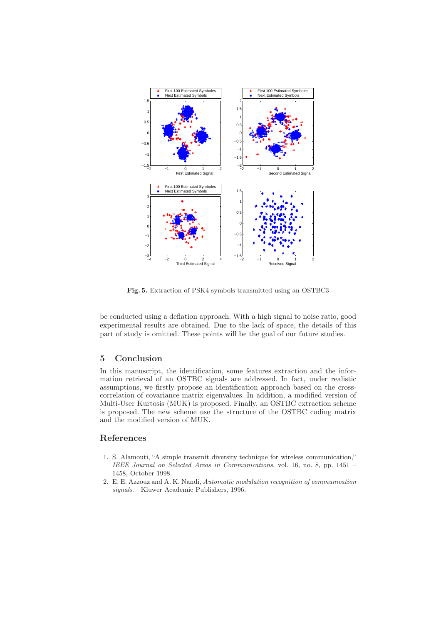

Fig. 5. Extraction of PSK4 symbols transmitted using an OSTBC3

be conducted using a deflation approach. With a high signal to noise ratio, good experimental results are obtained. Due to the lack of space, the details of this part of study is omitted. These points will be the goal of our future studies.

## 5 Conclusion

In this manuscript, the identification, some features extraction and the information retrieval of an OSTBC signals are addressed. In fact, under realistic assumptions, we firstly propose an identification approach based on the crosscorrelation of covariance matrix eigenvalues. In addition, a modified version of Multi-User Kurtosis (MUK) is proposed. Finally, an OSTBC extraction scheme is proposed. The new scheme use the structure of the OSTBC coding matrix and the modified version of MUK.

## References

- 1. S. Alamouti, "A simple transmit diversity technique for wireless communication," IEEE Journal on Selected Areas in Communications, vol. 16, no. 8, pp. 1451 – 1458, October 1998.
- 2. E. E. Azzouz and A. K. Nandi, Automatic modulation recognition of communication signals. Kluwer Academic Publishers, 1996.